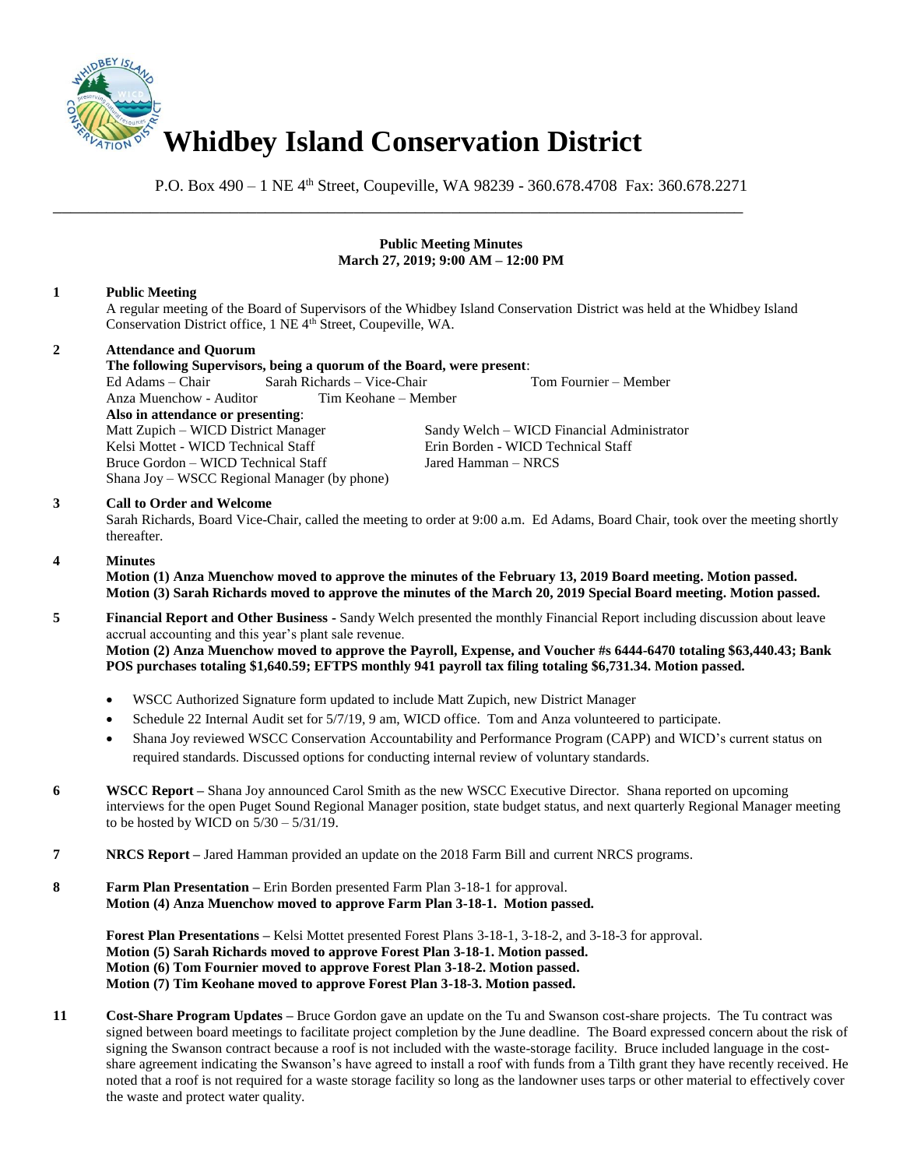

\_\_\_\_\_\_\_\_\_\_\_\_\_\_\_\_\_\_\_\_\_\_\_\_\_\_\_\_\_\_\_\_\_\_\_\_\_\_\_\_\_\_\_\_\_\_\_\_\_\_\_\_\_\_\_\_\_\_\_\_\_\_\_\_\_\_\_\_\_\_\_\_\_\_\_\_\_\_

P.O. Box 490 – 1 NE 4<sup>th</sup> Street, Coupeville, WA 98239 - 360.678.4708 Fax: 360.678.2271

## **Public Meeting Minutes March 27, 2019; 9:00 AM – 12:00 PM**

# **1 Public Meeting**

A regular meeting of the Board of Supervisors of the Whidbey Island Conservation District was held at the Whidbey Island Conservation District office, 1 NE 4<sup>th</sup> Street, Coupeville, WA.

### **2 Attendance and Quorum**

### **The following Supervisors, being a quorum of the Board, were present**:

Ed Adams – Chair Sarah Richards – Vice-Chair Tom Fournier – Member

Anza Muenchow - Auditor **Also in attendance or presenting**: Kelsi Mottet - WICD Technical Staff Erin Borden - WICD Technical Staff Bruce Gordon – WICD Technical Staff Jared Hamman – NRCS Shana Joy – WSCC Regional Manager (by phone)

Sandy Welch – WICD Financial Administrator

### **3 Call to Order and Welcome**

Sarah Richards, Board Vice-Chair, called the meeting to order at 9:00 a.m. Ed Adams, Board Chair, took over the meeting shortly thereafter.

## **4 Minutes**

**Motion (1) Anza Muenchow moved to approve the minutes of the February 13, 2019 Board meeting. Motion passed. Motion (3) Sarah Richards moved to approve the minutes of the March 20, 2019 Special Board meeting. Motion passed.** 

- **5 Financial Report and Other Business -** Sandy Welch presented the monthly Financial Report including discussion about leave accrual accounting and this year's plant sale revenue. **Motion (2) Anza Muenchow moved to approve the Payroll, Expense, and Voucher #s 6444-6470 totaling \$63,440.43; Bank POS purchases totaling \$1,640.59; EFTPS monthly 941 payroll tax filing totaling \$6,731.34. Motion passed.** 
	- WSCC Authorized Signature form updated to include Matt Zupich, new District Manager
	- Schedule 22 Internal Audit set for 5/7/19, 9 am, WICD office. Tom and Anza volunteered to participate.
	- Shana Joy reviewed WSCC Conservation Accountability and Performance Program (CAPP) and WICD's current status on required standards. Discussed options for conducting internal review of voluntary standards.
- **6 WSCC Report –** Shana Joy announced Carol Smith as the new WSCC Executive Director. Shana reported on upcoming interviews for the open Puget Sound Regional Manager position, state budget status, and next quarterly Regional Manager meeting to be hosted by WICD on  $5/30 - 5/31/19$ .
- **7 NRCS Report –** Jared Hamman provided an update on the 2018 Farm Bill and current NRCS programs.
- **8 Farm Plan Presentation –** Erin Borden presented Farm Plan 3-18-1 for approval. **Motion (4) Anza Muenchow moved to approve Farm Plan 3-18-1. Motion passed.**

**Forest Plan Presentations –** Kelsi Mottet presented Forest Plans 3-18-1, 3-18-2, and 3-18-3 for approval. **Motion (5) Sarah Richards moved to approve Forest Plan 3-18-1. Motion passed. Motion (6) Tom Fournier moved to approve Forest Plan 3-18-2. Motion passed. Motion (7) Tim Keohane moved to approve Forest Plan 3-18-3. Motion passed.**

**11 Cost-Share Program Updates –** Bruce Gordon gave an update on the Tu and Swanson cost-share projects. The Tu contract was signed between board meetings to facilitate project completion by the June deadline. The Board expressed concern about the risk of signing the Swanson contract because a roof is not included with the waste-storage facility. Bruce included language in the costshare agreement indicating the Swanson's have agreed to install a roof with funds from a Tilth grant they have recently received. He noted that a roof is not required for a waste storage facility so long as the landowner uses tarps or other material to effectively cover the waste and protect water quality.